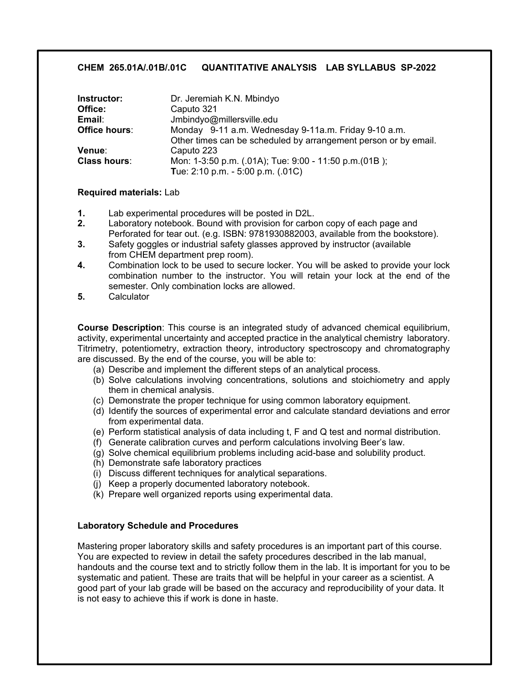## **CHEM 265.01A/.01B/.01C QUANTITATIVE ANALYSIS LAB SYLLABUS SP-2022**

| Instructor:         | Dr. Jeremiah K.N. Mbindyo                                       |  |  |  |  |  |
|---------------------|-----------------------------------------------------------------|--|--|--|--|--|
| Office:             | Caputo 321                                                      |  |  |  |  |  |
| Email:              | Jmbindyo@millersville.edu                                       |  |  |  |  |  |
| Office hours:       | Monday 9-11 a.m. Wednesday 9-11a.m. Friday 9-10 a.m.            |  |  |  |  |  |
|                     | Other times can be scheduled by arrangement person or by email. |  |  |  |  |  |
| Venue:              | Caputo 223                                                      |  |  |  |  |  |
| <b>Class hours:</b> | Mon: 1-3:50 p.m. (.01A); Tue: 9:00 - 11:50 p.m. (01B);          |  |  |  |  |  |
|                     | Tue: 2:10 p.m. - 5:00 p.m. (.01C)                               |  |  |  |  |  |

### **Required materials:** Lab

- **1.** Lab experimental procedures will be posted in D2L.
- **2.** Laboratory notebook. Bound with provision for carbon copy of each page and Perforated for tear out. (e.g. ISBN: 9781930882003, available from the bookstore).
- **3.** Safety goggles or industrial safety glasses approved by instructor (available from CHEM department prep room).
- **4.** Combination lock to be used to secure locker. You will be asked to provide your lock combination number to the instructor. You will retain your lock at the end of the semester. Only combination locks are allowed.
- **5.** Calculator

**Course Description**: This course is an integrated study of advanced chemical equilibrium, activity, experimental uncertainty and accepted practice in the analytical chemistry laboratory. Titrimetry, potentiometry, extraction theory, introductory spectroscopy and chromatography are discussed. By the end of the course, you will be able to:

- (a) Describe and implement the different steps of an analytical process.
- (b) Solve calculations involving concentrations, solutions and stoichiometry and apply them in chemical analysis.
- (c) Demonstrate the proper technique for using common laboratory equipment.
- (d) Identify the sources of experimental error and calculate standard deviations and error from experimental data.
- (e) Perform statistical analysis of data including t, F and Q test and normal distribution.
- (f) Generate calibration curves and perform calculations involving Beer's law.
- (g) Solve chemical equilibrium problems including acid-base and solubility product.
- (h) Demonstrate safe laboratory practices
- (i) Discuss different techniques for analytical separations.
- (j) Keep a properly documented laboratory notebook.
- (k) Prepare well organized reports using experimental data.

### **Laboratory Schedule and Procedures**

Mastering proper laboratory skills and safety procedures is an important part of this course. You are expected to review in detail the safety procedures described in the lab manual, handouts and the course text and to strictly follow them in the lab. It is important for you to be systematic and patient. These are traits that will be helpful in your career as a scientist. A good part of your lab grade will be based on the accuracy and reproducibility of your data. It is not easy to achieve this if work is done in haste.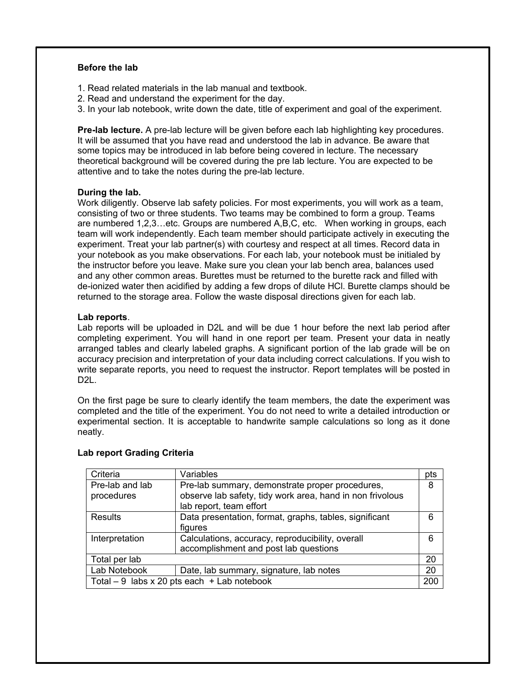### **Before the lab**

- 1. Read related materials in the lab manual and textbook.
- 2. Read and understand the experiment for the day.
- 3. In your lab notebook, write down the date, title of experiment and goal of the experiment.

 **Pre-lab lecture.** A pre-lab lecture will be given before each lab highlighting key procedures. It will be assumed that you have read and understood the lab in advance. Be aware that some topics may be introduced in lab before being covered in lecture. The necessary theoretical background will be covered during the pre lab lecture. You are expected to be attentive and to take the notes during the pre-lab lecture.

### **During the lab.**

Work diligently. Observe lab safety policies. For most experiments, you will work as a team, consisting of two or three students. Two teams may be combined to form a group. Teams are numbered 1,2,3…etc. Groups are numbered A,B,C, etc. When working in groups, each team will work independently. Each team member should participate actively in executing the experiment. Treat your lab partner(s) with courtesy and respect at all times. Record data in your notebook as you make observations. For each lab, your notebook must be initialed by the instructor before you leave. Make sure you clean your lab bench area, balances used and any other common areas. Burettes must be returned to the burette rack and filled with de-ionized water then acidified by adding a few drops of dilute HCl. Burette clamps should be returned to the storage area. Follow the waste disposal directions given for each lab.

### **Lab reports**.

Lab reports will be uploaded in D2L and will be due 1 hour before the next lab period after completing experiment. You will hand in one report per team. Present your data in neatly arranged tables and clearly labeled graphs. A significant portion of the lab grade will be on accuracy precision and interpretation of your data including correct calculations. If you wish to write separate reports, you need to request the instructor. Report templates will be posted in D<sub>2</sub>L.

On the first page be sure to clearly identify the team members, the date the experiment was completed and the title of the experiment. You do not need to write a detailed introduction or experimental section. It is acceptable to handwrite sample calculations so long as it done neatly.

| Criteria                                       | Variables                                                                                                                               | pts |  |  |
|------------------------------------------------|-----------------------------------------------------------------------------------------------------------------------------------------|-----|--|--|
| Pre-lab and lab<br>procedures                  | Pre-lab summary, demonstrate proper procedures,<br>observe lab safety, tidy work area, hand in non frivolous<br>lab report, team effort |     |  |  |
| Results                                        | Data presentation, format, graphs, tables, significant<br>figures                                                                       |     |  |  |
| Interpretation                                 | Calculations, accuracy, reproducibility, overall<br>accomplishment and post lab questions                                               |     |  |  |
| Total per lab                                  |                                                                                                                                         |     |  |  |
| Lab Notebook                                   | Date, lab summary, signature, lab notes                                                                                                 | 20  |  |  |
| Total $-9$ labs x 20 pts each $+$ Lab notebook |                                                                                                                                         |     |  |  |

### **Lab report Grading Criteria**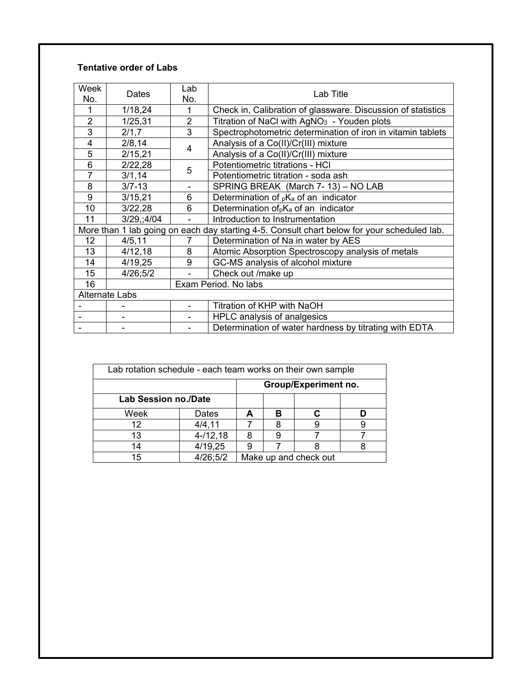# **Tentative order of Labs**

| Week<br>No.                                                                                 | Dates                | Lab<br>No.     | Lab Title                                                    |  |  |  |
|---------------------------------------------------------------------------------------------|----------------------|----------------|--------------------------------------------------------------|--|--|--|
| 1                                                                                           | 1/18,24              | 1              | Check in, Calibration of glassware. Discussion of statistics |  |  |  |
| $\overline{2}$                                                                              | 1/25,31              | $\overline{2}$ | Titration of NaCl with AgNO <sub>3</sub> - Youden plots      |  |  |  |
| $\overline{3}$                                                                              | 2/1,7                | 3              | Spectrophotometric determination of iron in vitamin tablets  |  |  |  |
| $\overline{4}$                                                                              | 2/8, 14              | $\overline{4}$ | Analysis of a Co(II)/Cr(III) mixture                         |  |  |  |
| 5                                                                                           | 2/15,21              |                | Analysis of a Co(II)/Cr(III) mixture                         |  |  |  |
| 6                                                                                           | 2/22,28              | 5              | Potentiometric titrations - HCI                              |  |  |  |
| $\overline{7}$                                                                              | 3/1, 14              |                | Potentiometric titration - soda ash                          |  |  |  |
| 8                                                                                           | $3/7 - 13$           |                | SPRING BREAK (March 7-13) - NO LAB                           |  |  |  |
| 9                                                                                           | 3/15,21              | 6              | Determination of $pK_a$ of an indicator                      |  |  |  |
| 10                                                                                          | 3/22,28              | 6              | Determination of $K_a$ of an indicator                       |  |  |  |
| 11                                                                                          | $3/29$ ; 4/04        |                | Introduction to Instrumentation                              |  |  |  |
| More than 1 lab going on each day starting 4-5. Consult chart below for your scheduled lab. |                      |                |                                                              |  |  |  |
| 12 <sub>2</sub>                                                                             | 4/5, 11              | 7              | Determination of Na in water by AES                          |  |  |  |
| 13                                                                                          | 4/12, 18             | 8              | Atomic Absorption Spectroscopy analysis of metals            |  |  |  |
| 14                                                                                          | 4/19,25              | 9              | GC-MS analysis of alcohol mixture                            |  |  |  |
| 15                                                                                          | 4/26;5/2             |                | Check out /make up                                           |  |  |  |
| 16                                                                                          | Exam Period. No labs |                |                                                              |  |  |  |
| Alternate Labs                                                                              |                      |                |                                                              |  |  |  |
|                                                                                             |                      |                | Titration of KHP with NaOH                                   |  |  |  |
|                                                                                             |                      |                | HPLC analysis of analgesics                                  |  |  |  |
|                                                                                             |                      |                | Determination of water hardness by titrating with EDTA       |  |  |  |

| Lab rotation schedule - each team works on their own sample |             |                       |   |  |  |  |  |  |  |
|-------------------------------------------------------------|-------------|-----------------------|---|--|--|--|--|--|--|
|                                                             |             | Group/Experiment no.  |   |  |  |  |  |  |  |
| <b>Lab Session no./Date</b>                                 |             |                       |   |  |  |  |  |  |  |
| Week                                                        | Dates       | А                     | R |  |  |  |  |  |  |
| 12                                                          | 4/4, 11     |                       |   |  |  |  |  |  |  |
| 13                                                          | $4 - 12,18$ |                       |   |  |  |  |  |  |  |
|                                                             | 4/19,25     |                       |   |  |  |  |  |  |  |
| 15                                                          | 4/26;5/2    | Make up and check out |   |  |  |  |  |  |  |